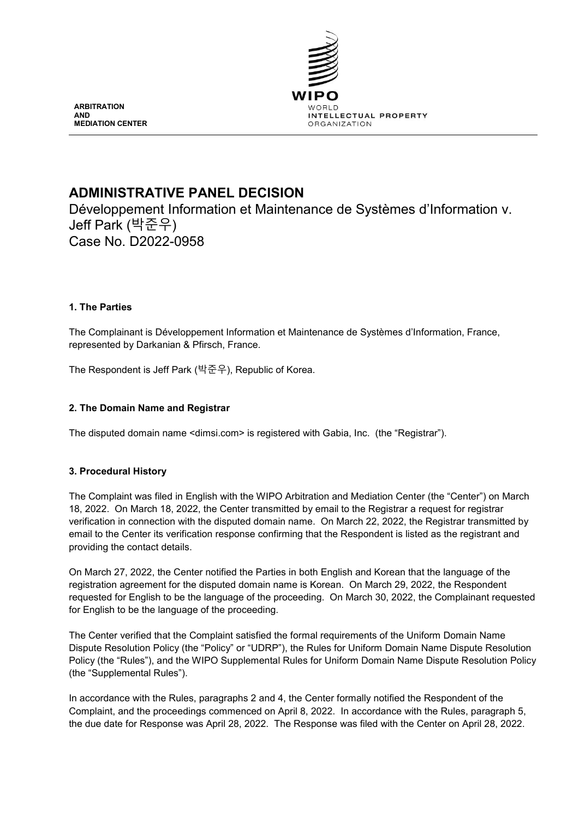

**ARBITRATION AND MEDIATION CENTER**

# **ADMINISTRATIVE PANEL DECISION**

Développement Information et Maintenance de Systèmes d'Information v. Jeff Park (박준우) Case No. D2022-0958

# **1. The Parties**

The Complainant is Développement Information et Maintenance de Systèmes d'Information, France, represented by Darkanian & Pfirsch, France.

The Respondent is Jeff Park (박준우), Republic of Korea.

# **2. The Domain Name and Registrar**

The disputed domain name <dimsi.com> is registered with Gabia, Inc. (the "Registrar").

# **3. Procedural History**

The Complaint was filed in English with the WIPO Arbitration and Mediation Center (the "Center") on March 18, 2022. On March 18, 2022, the Center transmitted by email to the Registrar a request for registrar verification in connection with the disputed domain name. On March 22, 2022, the Registrar transmitted by email to the Center its verification response confirming that the Respondent is listed as the registrant and providing the contact details.

On March 27, 2022, the Center notified the Parties in both English and Korean that the language of the registration agreement for the disputed domain name is Korean. On March 29, 2022, the Respondent requested for English to be the language of the proceeding. On March 30, 2022, the Complainant requested for English to be the language of the proceeding.

The Center verified that the Complaint satisfied the formal requirements of the Uniform Domain Name Dispute Resolution Policy (the "Policy" or "UDRP"), the Rules for Uniform Domain Name Dispute Resolution Policy (the "Rules"), and the WIPO Supplemental Rules for Uniform Domain Name Dispute Resolution Policy (the "Supplemental Rules").

In accordance with the Rules, paragraphs 2 and 4, the Center formally notified the Respondent of the Complaint, and the proceedings commenced on April 8, 2022. In accordance with the Rules, paragraph 5, the due date for Response was April 28, 2022. The Response was filed with the Center on April 28, 2022.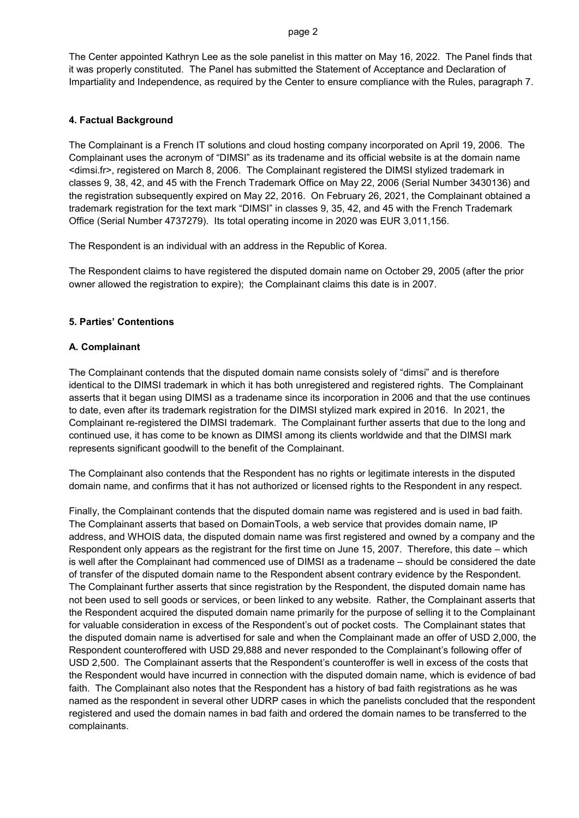#### page 2

The Center appointed Kathryn Lee as the sole panelist in this matter on May 16, 2022. The Panel finds that it was properly constituted. The Panel has submitted the Statement of Acceptance and Declaration of Impartiality and Independence, as required by the Center to ensure compliance with the Rules, paragraph 7.

#### **4. Factual Background**

The Complainant is a French IT solutions and cloud hosting company incorporated on April 19, 2006. The Complainant uses the acronym of "DIMSI" as its tradename and its official website is at the domain name <dimsi.fr>, registered on March 8, 2006. The Complainant registered the DIMSI stylized trademark in classes 9, 38, 42, and 45 with the French Trademark Office on May 22, 2006 (Serial Number 3430136) and the registration subsequently expired on May 22, 2016. On February 26, 2021, the Complainant obtained a trademark registration for the text mark "DIMSI" in classes 9, 35, 42, and 45 with the French Trademark Office (Serial Number 4737279). Its total operating income in 2020 was EUR 3,011,156.

The Respondent is an individual with an address in the Republic of Korea.

The Respondent claims to have registered the disputed domain name on October 29, 2005 (after the prior owner allowed the registration to expire); the Complainant claims this date is in 2007.

### **5. Parties' Contentions**

#### **A. Complainant**

The Complainant contends that the disputed domain name consists solely of "dimsi" and is therefore identical to the DIMSI trademark in which it has both unregistered and registered rights. The Complainant asserts that it began using DIMSI as a tradename since its incorporation in 2006 and that the use continues to date, even after its trademark registration for the DIMSI stylized mark expired in 2016. In 2021, the Complainant re-registered the DIMSI trademark. The Complainant further asserts that due to the long and continued use, it has come to be known as DIMSI among its clients worldwide and that the DIMSI mark represents significant goodwill to the benefit of the Complainant.

The Complainant also contends that the Respondent has no rights or legitimate interests in the disputed domain name, and confirms that it has not authorized or licensed rights to the Respondent in any respect.

Finally, the Complainant contends that the disputed domain name was registered and is used in bad faith. The Complainant asserts that based on DomainTools, a web service that provides domain name, IP address, and WHOIS data, the disputed domain name was first registered and owned by a company and the Respondent only appears as the registrant for the first time on June 15, 2007. Therefore, this date – which is well after the Complainant had commenced use of DIMSI as a tradename – should be considered the date of transfer of the disputed domain name to the Respondent absent contrary evidence by the Respondent. The Complainant further asserts that since registration by the Respondent, the disputed domain name has not been used to sell goods or services, or been linked to any website. Rather, the Complainant asserts that the Respondent acquired the disputed domain name primarily for the purpose of selling it to the Complainant for valuable consideration in excess of the Respondent's out of pocket costs. The Complainant states that the disputed domain name is advertised for sale and when the Complainant made an offer of USD 2,000, the Respondent counteroffered with USD 29,888 and never responded to the Complainant's following offer of USD 2,500. The Complainant asserts that the Respondent's counteroffer is well in excess of the costs that the Respondent would have incurred in connection with the disputed domain name, which is evidence of bad faith. The Complainant also notes that the Respondent has a history of bad faith registrations as he was named as the respondent in several other UDRP cases in which the panelists concluded that the respondent registered and used the domain names in bad faith and ordered the domain names to be transferred to the complainants.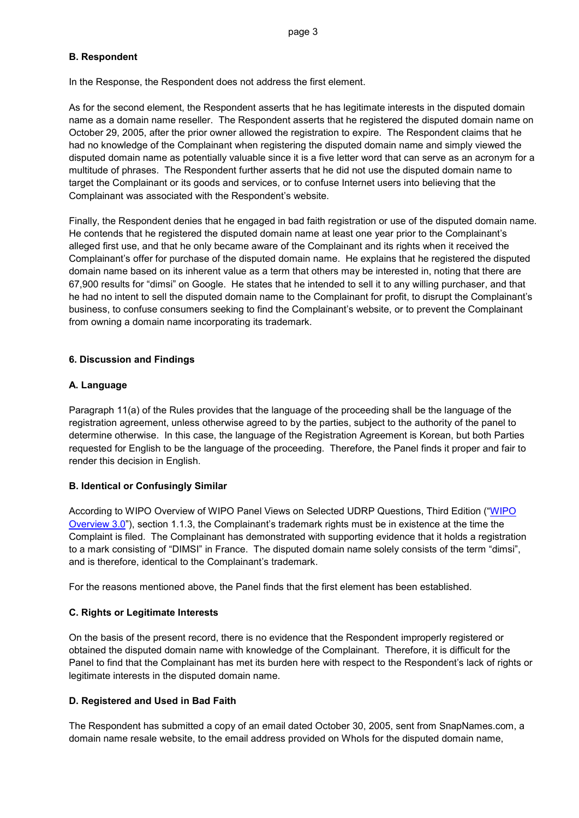# **B. Respondent**

In the Response, the Respondent does not address the first element.

As for the second element, the Respondent asserts that he has legitimate interests in the disputed domain name as a domain name reseller. The Respondent asserts that he registered the disputed domain name on October 29, 2005, after the prior owner allowed the registration to expire. The Respondent claims that he had no knowledge of the Complainant when registering the disputed domain name and simply viewed the disputed domain name as potentially valuable since it is a five letter word that can serve as an acronym for a multitude of phrases. The Respondent further asserts that he did not use the disputed domain name to target the Complainant or its goods and services, or to confuse Internet users into believing that the Complainant was associated with the Respondent's website.

Finally, the Respondent denies that he engaged in bad faith registration or use of the disputed domain name. He contends that he registered the disputed domain name at least one year prior to the Complainant's alleged first use, and that he only became aware of the Complainant and its rights when it received the Complainant's offer for purchase of the disputed domain name. He explains that he registered the disputed domain name based on its inherent value as a term that others may be interested in, noting that there are 67,900 results for "dimsi" on Google. He states that he intended to sell it to any willing purchaser, and that he had no intent to sell the disputed domain name to the Complainant for profit, to disrupt the Complainant's business, to confuse consumers seeking to find the Complainant's website, or to prevent the Complainant from owning a domain name incorporating its trademark.

# **6. Discussion and Findings**

# **A. Language**

Paragraph 11(a) of the Rules provides that the language of the proceeding shall be the language of the registration agreement, unless otherwise agreed to by the parties, subject to the authority of the panel to determine otherwise. In this case, the language of the Registration Agreement is Korean, but both Parties requested for English to be the language of the proceeding. Therefore, the Panel finds it proper and fair to render this decision in English.

# **B. Identical or Confusingly Similar**

According to WIPO Overview of WIPO Panel Views on Selected UDRP Questions, Third Edition ("WIPO [Overview 3.0"](https://www.wipo.int/amc/en/domains/search/overview3.0/)), section 1.1.3, the Complainant's trademark rights must be in existence at the time the Complaint is filed. The Complainant has demonstrated with supporting evidence that it holds a registration to a mark consisting of "DIMSI" in France. The disputed domain name solely consists of the term "dimsi", and is therefore, identical to the Complainant's trademark.

For the reasons mentioned above, the Panel finds that the first element has been established.

### **C. Rights or Legitimate Interests**

On the basis of the present record, there is no evidence that the Respondent improperly registered or obtained the disputed domain name with knowledge of the Complainant. Therefore, it is difficult for the Panel to find that the Complainant has met its burden here with respect to the Respondent's lack of rights or legitimate interests in the disputed domain name.

### **D. Registered and Used in Bad Faith**

The Respondent has submitted a copy of an email dated October 30, 2005, sent from SnapNames.com, a domain name resale website, to the email address provided on Whols for the disputed domain name,